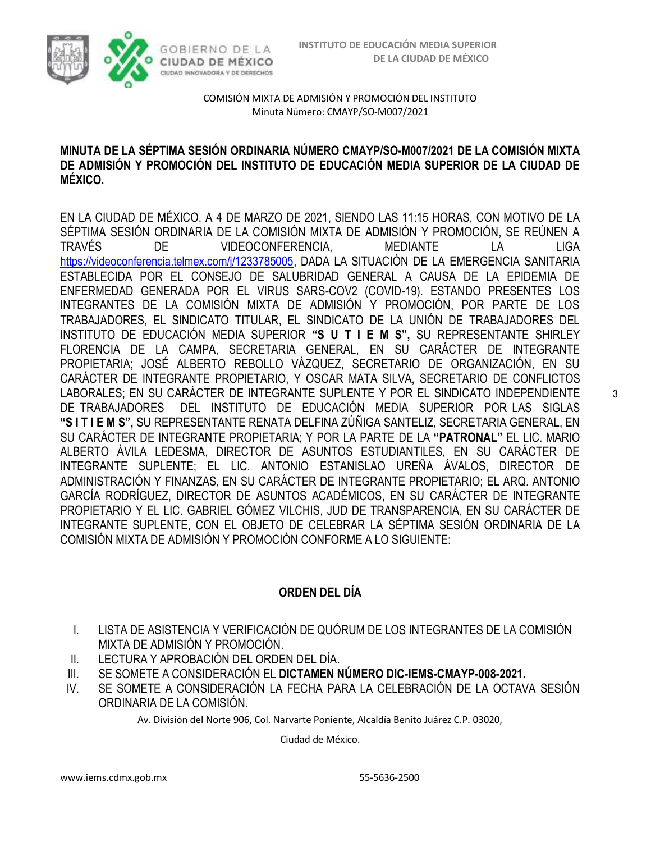

### **MINUTA DE LA SÉPTIMA SESIÓN ORDINARIA NÚMERO CMAYP/SO-M007/2021 DE LA COMISIÓN MIXTA DE ADMISIÓN Y PROMOCIÓN DEL INSTITUTO DE EDUCACIÓN MEDIA SUPERIOR DE LA CIUDAD DE MÉXICO.**

EN LA CIUDAD DE MÉXICO, A 4 DE MARZO DE 2021, SIENDO LAS 11:15 HORAS, CON MOTIVO DE LA SÉPTIMA SESIÓN ORDINARIA DE LA COMISIÓN MIXTA DE ADMISIÓN Y PROMOCIÓN, SE REÚNEN A TRAVÉS DE VIDEOCONFERENCIA, MEDIANTE LA LIGA [https://videoconferencia.telmex.com/j/1233785005,](https://videoconferencia.telmex.com/j/1233785005) DADA LA SITUACIÓN DE LA EMERGENCIA SANITARIA ESTABLECIDA POR EL CONSEJO DE SALUBRIDAD GENERAL A CAUSA DE LA EPIDEMIA DE ENFERMEDAD GENERADA POR EL VIRUS SARS-COV2 (COVID-19). ESTANDO PRESENTES LOS INTEGRANTES DE LA COMISIÓN MIXTA DE ADMISIÓN Y PROMOCIÓN, POR PARTE DE LOS TRABAJADORES, EL SINDICATO TITULAR, EL SINDICATO DE LA UNIÓN DE TRABAJADORES DEL INSTITUTO DE EDUCACIÓN MEDIA SUPERIOR **"S U T I E M S",** SU REPRESENTANTE SHIRLEY FLORENCIA DE LA CAMPA, SECRETARIA GENERAL, EN SU CARÁCTER DE INTEGRANTE PROPIETARIA; JOSÉ ALBERTO REBOLLO VÁZQUEZ, SECRETARIO DE ORGANIZACIÓN, EN SU CARÁCTER DE INTEGRANTE PROPIETARIO, Y OSCAR MATA SILVA, SECRETARIO DE CONFLICTOS LABORALES; EN SU CARÁCTER DE INTEGRANTE SUPLENTE Y POR EL SINDICATO INDEPENDIENTE DE TRABAJADORES DEL INSTITUTO DE EDUCACIÓN MEDIA SUPERIOR POR LAS SIGLAS **"S I T I E M S",** SU REPRESENTANTE RENATA DELFINA ZÚÑIGA SANTELIZ, SECRETARIA GENERAL, EN SU CARÁCTER DE INTEGRANTE PROPIETARIA; Y POR LA PARTE DE LA **"PATRONAL"** EL LIC. MARIO ALBERTO ÁVILA LEDESMA, DIRECTOR DE ASUNTOS ESTUDIANTILES, EN SU CARÁCTER DE INTEGRANTE SUPLENTE; EL LIC. ANTONIO ESTANISLAO UREÑA ÁVALOS, DIRECTOR DE ADMINISTRACIÓN Y FINANZAS, EN SU CARÁCTER DE INTEGRANTE PROPIETARIO; EL ARQ. ANTONIO GARCÍA RODRÍGUEZ, DIRECTOR DE ASUNTOS ACADÉMICOS, EN SU CARÁCTER DE INTEGRANTE PROPIETARIO Y EL LIC. GABRIEL GÓMEZ VILCHIS, JUD DE TRANSPARENCIA, EN SU CARÁCTER DE INTEGRANTE SUPLENTE, CON EL OBJETO DE CELEBRAR LA SÉPTIMA SESIÓN ORDINARIA DE LA COMISIÓN MIXTA DE ADMISIÓN Y PROMOCIÓN CONFORME A LO SIGUIENTE:

### **ORDEN DEL DÍA**

- I. LISTA DE ASISTENCIA Y VERIFICACIÓN DE QUÓRUM DE LOS INTEGRANTES DE LA COMISIÓN MIXTA DE ADMISIÓN Y PROMOCIÓN.
- II. LECTURA Y APROBACIÓN DEL ORDEN DEL DÍA.
- III. SE SOMETE A CONSIDERACIÓN EL **DICTAMEN NÚMERO DIC-IEMS-CMAYP-008-2021.**
- IV. SE SOMETE A CONSIDERACIÓN LA FECHA PARA LA CELEBRACIÓN DE LA OCTAVA SESIÓN ORDINARIA DE LA COMISIÓN.

Av. División del Norte 906, Col. Narvarte Poniente, Alcaldía Benito Juárez C.P. 03020,

Ciudad de México.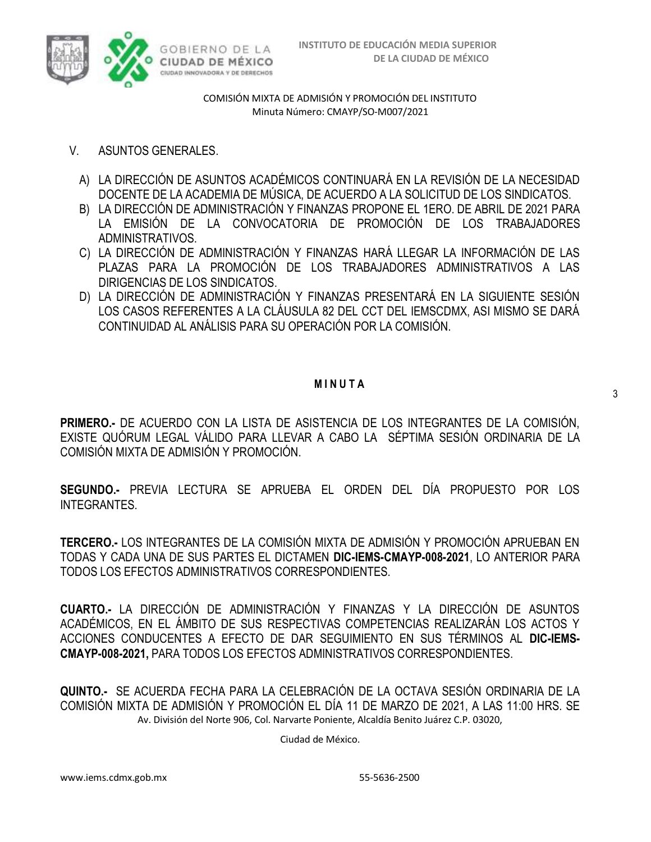

- V. ASUNTOS GENERALES.
	- A) LA DIRECCIÓN DE ASUNTOS ACADÉMICOS CONTINUARÁ EN LA REVISIÓN DE LA NECESIDAD DOCENTE DE LA ACADEMIA DE MÚSICA, DE ACUERDO A LA SOLICITUD DE LOS SINDICATOS.
	- B) LA DIRECCIÓN DE ADMINISTRACIÓN Y FINANZAS PROPONE EL 1ERO. DE ABRIL DE 2021 PARA LA EMISIÓN DE LA CONVOCATORIA DE PROMOCIÓN DE LOS TRABAJADORES ADMINISTRATIVOS.
	- C) LA DIRECCIÓN DE ADMINISTRACIÓN Y FINANZAS HARÁ LLEGAR LA INFORMACIÓN DE LAS PLAZAS PARA LA PROMOCIÓN DE LOS TRABAJADORES ADMINISTRATIVOS A LAS DIRIGENCIAS DE LOS SINDICATOS.
	- D) LA DIRECCIÓN DE ADMINISTRACIÓN Y FINANZAS PRESENTARÁ EN LA SIGUIENTE SESIÓN LOS CASOS REFERENTES A LA CLÁUSULA 82 DEL CCT DEL IEMSCDMX, ASI MISMO SE DARÁ CONTINUIDAD AL ANÁLISIS PARA SU OPERACIÓN POR LA COMISIÓN.

### **M I N U T A**

**PRIMERO.-** DE ACUERDO CON LA LISTA DE ASISTENCIA DE LOS INTEGRANTES DE LA COMISIÓN, EXISTE QUÓRUM LEGAL VÁLIDO PARA LLEVAR A CABO LA SÉPTIMA SESIÓN ORDINARIA DE LA COMISIÓN MIXTA DE ADMISIÓN Y PROMOCIÓN.

**SEGUNDO.-** PREVIA LECTURA SE APRUEBA EL ORDEN DEL DÍA PROPUESTO POR LOS INTEGRANTES.

**TERCERO.-** LOS INTEGRANTES DE LA COMISIÓN MIXTA DE ADMISIÓN Y PROMOCIÓN APRUEBAN EN TODAS Y CADA UNA DE SUS PARTES EL DICTAMEN **DIC-IEMS-CMAYP-008-2021**, LO ANTERIOR PARA TODOS LOS EFECTOS ADMINISTRATIVOS CORRESPONDIENTES.

**CUARTO.-** LA DIRECCIÓN DE ADMINISTRACIÓN Y FINANZAS Y LA DIRECCIÓN DE ASUNTOS ACADÉMICOS, EN EL ÁMBITO DE SUS RESPECTIVAS COMPETENCIAS REALIZARÁN LOS ACTOS Y ACCIONES CONDUCENTES A EFECTO DE DAR SEGUIMIENTO EN SUS TÉRMINOS AL **DIC-IEMS-CMAYP-008-2021,** PARA TODOS LOS EFECTOS ADMINISTRATIVOS CORRESPONDIENTES.

Av. División del Norte 906, Col. Narvarte Poniente, Alcaldía Benito Juárez C.P. 03020, **QUINTO.-** SE ACUERDA FECHA PARA LA CELEBRACIÓN DE LA OCTAVA SESIÓN ORDINARIA DE LA COMISIÓN MIXTA DE ADMISIÓN Y PROMOCIÓN EL DÍA 11 DE MARZO DE 2021, A LAS 11:00 HRS. SE

Ciudad de México.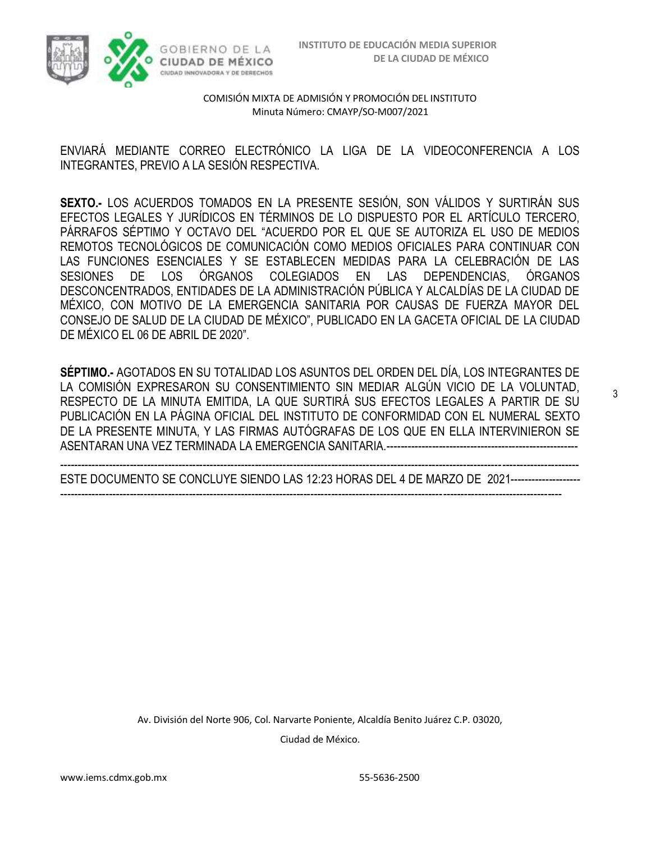

3



COMISIÓN MIXTA DE ADMISIÓN Y PROMOCIÓN DEL INSTITUTO Minuta Número: CMAYP/SO-M007/2021

ENVIARÁ MEDIANTE CORREO ELECTRÓNICO LA LIGA DE LA VIDEOCONFERENCIA A LOS INTEGRANTES, PREVIO A LA SESIÓN RESPECTIVA.

**SEXTO.-** LOS ACUERDOS TOMADOS EN LA PRESENTE SESIÓN, SON VÁLIDOS Y SURTIRÁN SUS EFECTOS LEGALES Y JURÍDICOS EN TÉRMINOS DE LO DISPUESTO POR EL ARTÍCULO TERCERO, PÁRRAFOS SÉPTIMO Y OCTAVO DEL "ACUERDO POR EL QUE SE AUTORIZA EL USO DE MEDIOS REMOTOS TECNOLÓGICOS DE COMUNICACIÓN COMO MEDIOS OFICIALES PARA CONTINUAR CON LAS FUNCIONES ESENCIALES Y SE ESTABLECEN MEDIDAS PARA LA CELEBRACIÓN DE LAS SESIONES DE LOS ÓRGANOS COLEGIADOS EN LAS DEPENDENCIAS, ÓRGANOS DESCONCENTRADOS, ENTIDADES DE LA ADMINISTRACIÓN PÚBLICA Y ALCALDÍAS DE LA CIUDAD DE MÉXICO, CON MOTIVO DE LA EMERGENCIA SANITARIA POR CAUSAS DE FUERZA MAYOR DEL CONSEJO DE SALUD DE LA CIUDAD DE MÉXICO", PUBLICADO EN LA GACETA OFICIAL DE LA CIUDAD DE MÉXICO EL 06 DE ABRIL DE 2020".

**SÉPTIMO.-** AGOTADOS EN SU TOTALIDAD LOS ASUNTOS DEL ORDEN DEL DÍA, LOS INTEGRANTES DE LA COMISIÓN EXPRESARON SU CONSENTIMIENTO SIN MEDIAR ALGÚN VICIO DE LA VOLUNTAD, RESPECTO DE LA MINUTA EMITIDA, LA QUE SURTIRÁ SUS EFECTOS LEGALES A PARTIR DE SU PUBLICACIÓN EN LA PÁGINA OFICIAL DEL INSTITUTO DE CONFORMIDAD CON EL NUMERAL SEXTO DE LA PRESENTE MINUTA, Y LAS FIRMAS AUTÓGRAFAS DE LOS QUE EN ELLA INTERVINIERON SE ASENTARAN UNA VEZ TERMINADA LA EMERGENCIA SANITARIA.-------------------------------------------------------

----------------------------------------------------------------------------------------------------------------------------------------------------- ESTE DOCUMENTO SE CONCLUYE SIENDO LAS 12:23 HORAS DEL 4 DE MARZO DE 2021--------------------

------------------------------------------------------------------------------------------------------------------------------------------------

Av. División del Norte 906, Col. Narvarte Poniente, Alcaldía Benito Juárez C.P. 03020, Ciudad de México.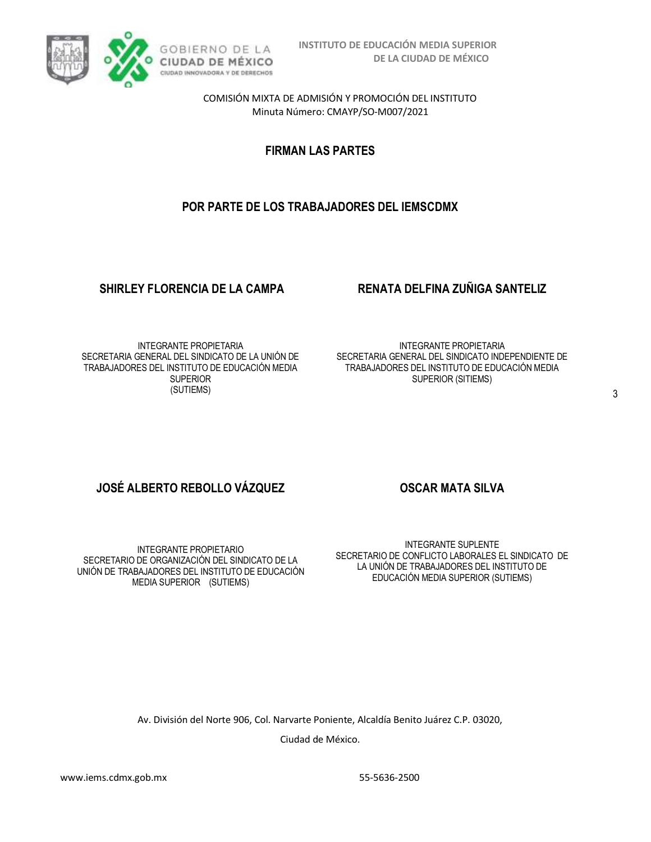

**FIRMAN LAS PARTES**

## **POR PARTE DE LOS TRABAJADORES DEL IEMSCDMX**

### **SHIRLEY FLORENCIA DE LA CAMPA RENATA DELFINA ZUÑIGA SANTELIZ**

INTEGRANTE PROPIETARIA SECRETARIA GENERAL DEL SINDICATO DE LA UNIÓN DE TRABAJADORES DEL INSTITUTO DE EDUCACIÓN MEDIA SUPERIOR (SUTIEMS)

INTEGRANTE PROPIETARIA SECRETARIA GENERAL DEL SINDICATO INDEPENDIENTE DE TRABAJADORES DEL INSTITUTO DE EDUCACIÓN MEDIA SUPERIOR (SITIEMS)

# **JOSÉ ALBERTO REBOLLO VÁZQUEZ COSCAR MATA SILVA**

INTEGRANTE PROPIETARIO SECRETARIO DE ORGANIZACIÓN DEL SINDICATO DE LA UNIÓN DE TRABAJADORES DEL INSTITUTO DE EDUCACIÓN MEDIA SUPERIOR (SUTIEMS)

INTEGRANTE SUPLENTE SECRETARIO DE CONFLICTO LABORALES EL SINDICATO DE LA UNIÓN DE TRABAJADORES DEL INSTITUTO DE EDUCACIÓN MEDIA SUPERIOR (SUTIEMS)

Av. División del Norte 906, Col. Narvarte Poniente, Alcaldía Benito Juárez C.P. 03020, Ciudad de México.